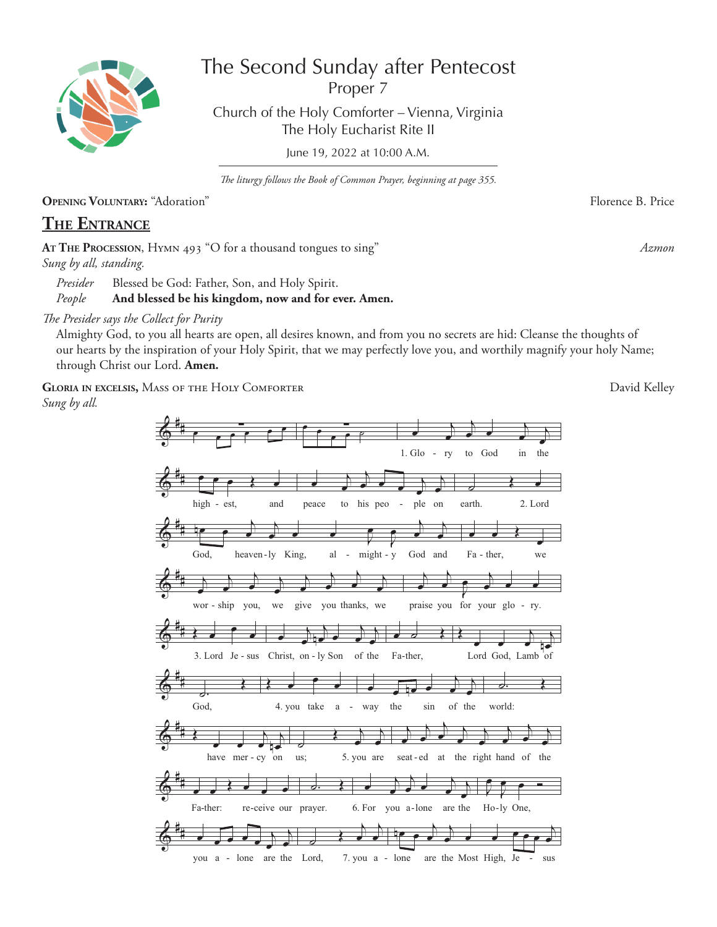

# The Second Sunday after Pentecost

Proper 7

Church of the Holy Comforter – Vienna, Virginia The Holy Eucharist Rite II

June 19, 2022 at 10:00 A.M.

*The liturgy follows the Book of Common Prayer, beginning at page 355.*

**OPENING VOLUNTARY: "Adoration"** Florence B. Price

## **The Entrance**

**At The Procession**, Hymn 493 "O for a thousand tongues to sing" *Azmon Sung by all, standing.*

*Presider* Blessed be God: Father, Son, and Holy Spirit.

### *People* **And blessed be his kingdom, now and for ever. Amen.**

*The Presider says the Collect for Purity*

Almighty God, to you all hearts are open, all desires known, and from you no secrets are hid: Cleanse the thoughts of our hearts by the inspiration of your Holy Spirit, that we may perfectly love you, and worthily magnify your holy Name; through Christ our Lord. **Amen***.*

**Gloria in excelsis,** Mass of the Holy Comforter David Kelley *Sung by all.*

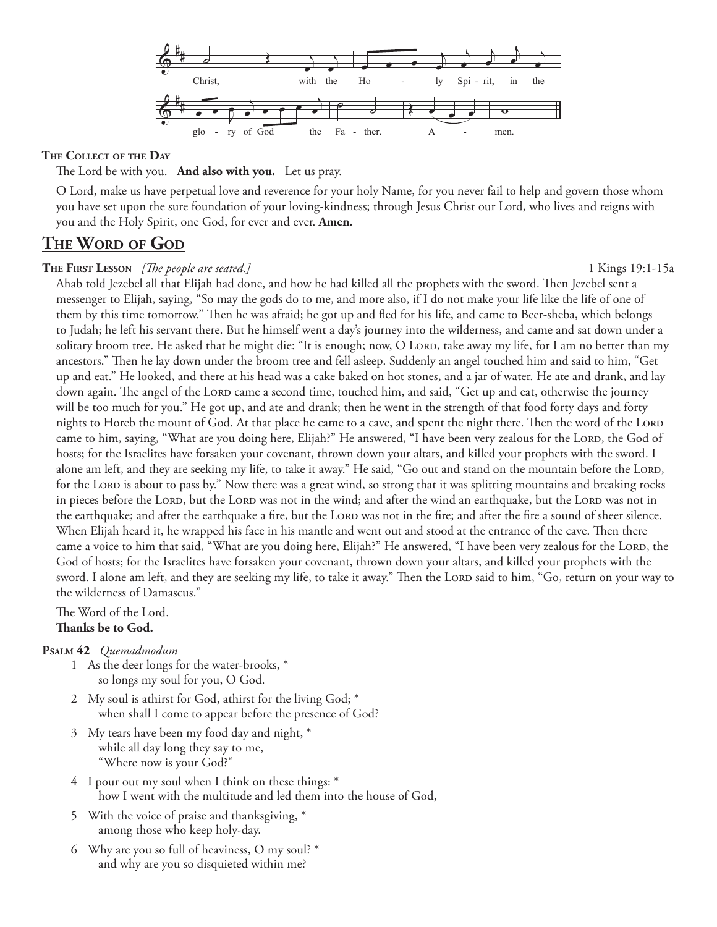

#### **The Collect of the Day**

The Lord be with you. **And also with you.** Let us pray.

O Lord, make us have perpetual love and reverence for your holy Name, for you never fail to help and govern those whom you have set upon the sure foundation of your loving-kindness; through Jesus Christ our Lord, who lives and reigns with you and the Holy Spirit, one God, for ever and ever. **Amen***.*

## **The Word of God**

#### **The First Lesson** *[The people are seated.]* 1 Kings 19:1-15a

Ahab told Jezebel all that Elijah had done, and how he had killed all the prophets with the sword. Then Jezebel sent a messenger to Elijah, saying, "So may the gods do to me, and more also, if I do not make your life like the life of one of them by this time tomorrow." Then he was afraid; he got up and fled for his life, and came to Beer-sheba, which belongs to Judah; he left his servant there. But he himself went a day's journey into the wilderness, and came and sat down under a solitary broom tree. He asked that he might die: "It is enough; now, O Lord, take away my life, for I am no better than my ancestors." Then he lay down under the broom tree and fell asleep. Suddenly an angel touched him and said to him, "Get up and eat." He looked, and there at his head was a cake baked on hot stones, and a jar of water. He ate and drank, and lay down again. The angel of the Lord came a second time, touched him, and said, "Get up and eat, otherwise the journey will be too much for you." He got up, and ate and drank; then he went in the strength of that food forty days and forty nights to Horeb the mount of God. At that place he came to a cave, and spent the night there. Then the word of the Lord came to him, saying, "What are you doing here, Elijah?" He answered, "I have been very zealous for the LORD, the God of hosts; for the Israelites have forsaken your covenant, thrown down your altars, and killed your prophets with the sword. I alone am left, and they are seeking my life, to take it away." He said, "Go out and stand on the mountain before the LORD, for the LORD is about to pass by." Now there was a great wind, so strong that it was splitting mountains and breaking rocks in pieces before the Lord, but the Lord was not in the wind; and after the wind an earthquake, but the Lord was not in the earthquake; and after the earthquake a fire, but the LORD was not in the fire; and after the fire a sound of sheer silence. When Elijah heard it, he wrapped his face in his mantle and went out and stood at the entrance of the cave. Then there came a voice to him that said, "What are you doing here, Elijah?" He answered, "I have been very zealous for the LORD, the God of hosts; for the Israelites have forsaken your covenant, thrown down your altars, and killed your prophets with the sword. I alone am left, and they are seeking my life, to take it away." Then the LORD said to him, "Go, return on your way to the wilderness of Damascus."

The Word of the Lord.

### **Thanks be to God.**

#### **Psalm 42** *Quemadmodum*

- 1 As the deer longs for the water-brooks, \* so longs my soul for you, O God.
- 2 My soul is athirst for God, athirst for the living God; \* when shall I come to appear before the presence of God?
- 3 My tears have been my food day and night, \* while all day long they say to me, "Where now is your God?"
- 4 I pour out my soul when I think on these things: \* how I went with the multitude and led them into the house of God,
- 5 With the voice of praise and thanksgiving, \* among those who keep holy-day.
- 6 Why are you so full of heaviness, O my soul? \* and why are you so disquieted within me?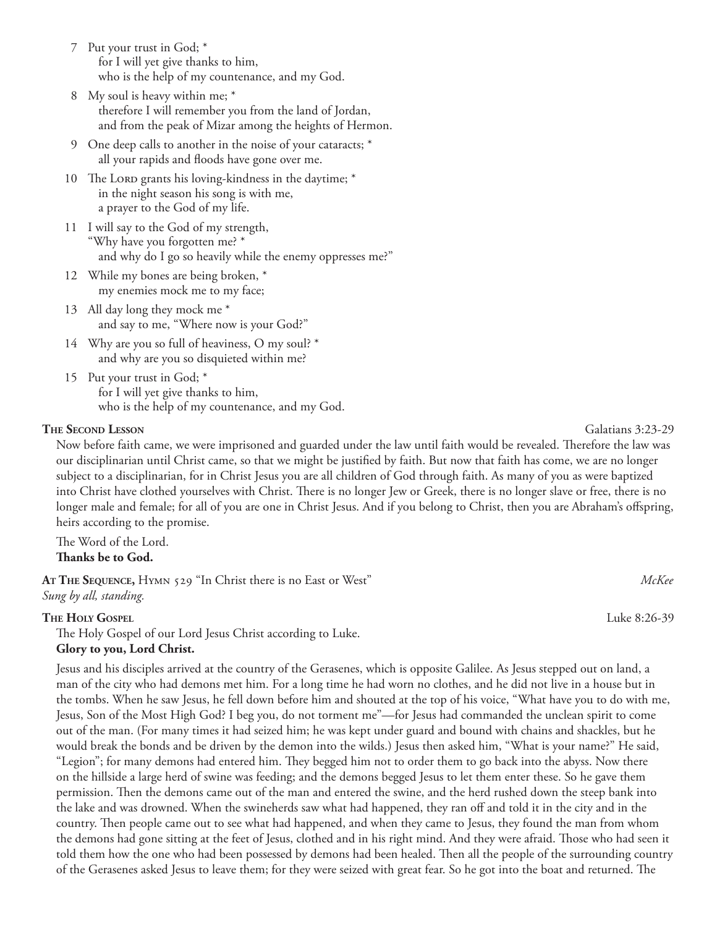- 7 Put your trust in God; \* for I will yet give thanks to him, who is the help of my countenance, and my God.
- 8 My soul is heavy within me; \* therefore I will remember you from the land of Jordan, and from the peak of Mizar among the heights of Hermon.
- 9 One deep calls to another in the noise of your cataracts; \* all your rapids and floods have gone over me.
- 10 The Lord grants his loving-kindness in the daytime; \* in the night season his song is with me, a prayer to the God of my life.
- 11 I will say to the God of my strength, "Why have you forgotten me? \* and why do I go so heavily while the enemy oppresses me?"
- 12 While my bones are being broken, \* my enemies mock me to my face;
- 13 All day long they mock me \* and say to me, "Where now is your God?"
- 14 Why are you so full of heaviness, O my soul? \* and why are you so disquieted within me?
- 15 Put your trust in God; \* for I will yet give thanks to him, who is the help of my countenance, and my God.

#### **The Second Lesson** Galatians 3:23-29

Now before faith came, we were imprisoned and guarded under the law until faith would be revealed. Therefore the law was our disciplinarian until Christ came, so that we might be justified by faith. But now that faith has come, we are no longer subject to a disciplinarian, for in Christ Jesus you are all children of God through faith. As many of you as were baptized into Christ have clothed yourselves with Christ. There is no longer Jew or Greek, there is no longer slave or free, there is no longer male and female; for all of you are one in Christ Jesus. And if you belong to Christ, then you are Abraham's offspring, heirs according to the promise.

The Word of the Lord. **Thanks be to God.**

**At The Sequence,** Hymn 529 "In Christ there is no East or West" *McKee Sung by all, standing.*

#### **THE HOLY GOSPEL** Luke 8:26-39

The Holy Gospel of our Lord Jesus Christ according to Luke.

### **Glory to you, Lord Christ.**

Jesus and his disciples arrived at the country of the Gerasenes, which is opposite Galilee. As Jesus stepped out on land, a man of the city who had demons met him. For a long time he had worn no clothes, and he did not live in a house but in the tombs. When he saw Jesus, he fell down before him and shouted at the top of his voice, "What have you to do with me, Jesus, Son of the Most High God? I beg you, do not torment me"—for Jesus had commanded the unclean spirit to come out of the man. (For many times it had seized him; he was kept under guard and bound with chains and shackles, but he would break the bonds and be driven by the demon into the wilds.) Jesus then asked him, "What is your name?" He said, "Legion"; for many demons had entered him. They begged him not to order them to go back into the abyss. Now there on the hillside a large herd of swine was feeding; and the demons begged Jesus to let them enter these. So he gave them permission. Then the demons came out of the man and entered the swine, and the herd rushed down the steep bank into the lake and was drowned. When the swineherds saw what had happened, they ran off and told it in the city and in the country. Then people came out to see what had happened, and when they came to Jesus, they found the man from whom the demons had gone sitting at the feet of Jesus, clothed and in his right mind. And they were afraid. Those who had seen it told them how the one who had been possessed by demons had been healed. Then all the people of the surrounding country of the Gerasenes asked Jesus to leave them; for they were seized with great fear. So he got into the boat and returned. The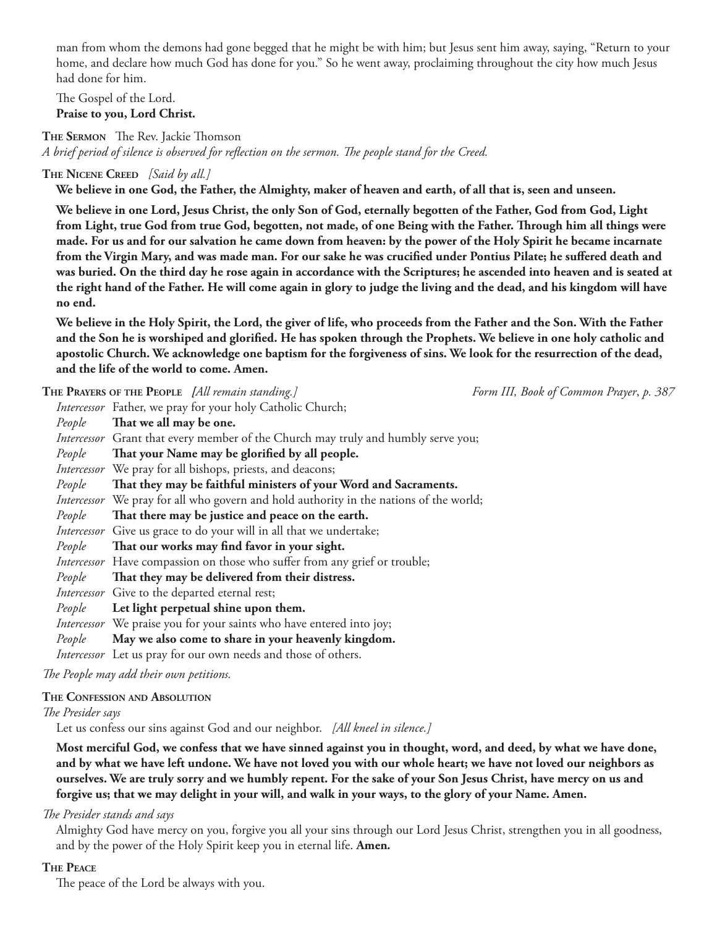man from whom the demons had gone begged that he might be with him; but Jesus sent him away, saying, "Return to your home, and declare how much God has done for you." So he went away, proclaiming throughout the city how much Jesus had done for him.

The Gospel of the Lord. **Praise to you, Lord Christ.**

**The Sermon** The Rev. Jackie Thomson *A brief period of silence is observed for reflection on the sermon. The people stand for the Creed.*

#### **The Nicene Creed** *[Said by all.]*

**We believe in one God, the Father, the Almighty, maker of heaven and earth, of all that is, seen and unseen.**

**We believe in one Lord, Jesus Christ, the only Son of God, eternally begotten of the Father, God from God, Light from Light, true God from true God, begotten, not made, of one Being with the Father. Through him all things were made. For us and for our salvation he came down from heaven: by the power of the Holy Spirit he became incarnate from the Virgin Mary, and was made man. For our sake he was crucified under Pontius Pilate; he suffered death and was buried. On the third day he rose again in accordance with the Scriptures; he ascended into heaven and is seated at the right hand of the Father. He will come again in glory to judge the living and the dead, and his kingdom will have no end.**

**We believe in the Holy Spirit, the Lord, the giver of life, who proceeds from the Father and the Son. With the Father and the Son he is worshiped and glorified. He has spoken through the Prophets. We believe in one holy catholic and apostolic Church. We acknowledge one baptism for the forgiveness of sins. We look for the resurrection of the dead, and the life of the world to come. Amen.**

**The Prayers of the People** *[All remain standing.] Form III, Book of Common Prayer*, *p. 387*

|        | Intercessor Father, we pray for your holy Catholic Church;                               |
|--------|------------------------------------------------------------------------------------------|
| People | That we all may be one.                                                                  |
|        | <i>Intercessor</i> Grant that every member of the Church may truly and humbly serve you; |
| People | That your Name may be glorified by all people.                                           |
|        | <i>Intercessor</i> We pray for all bishops, priests, and deacons;                        |
| People | That they may be faithful ministers of your Word and Sacraments.                         |
|        | Intercessor We pray for all who govern and hold authority in the nations of the world;   |
| People | That there may be justice and peace on the earth.                                        |
|        | <i>Intercessor</i> Give us grace to do your will in all that we undertake;               |
| People | That our works may find favor in your sight.                                             |
|        | <i>Intercessor</i> Have compassion on those who suffer from any grief or trouble;        |
| People | That they may be delivered from their distress.                                          |
|        | Intercessor Give to the departed eternal rest;                                           |
| People | Let light perpetual shine upon them.                                                     |
|        | Intercessor We praise you for your saints who have entered into joy;                     |
| People | May we also come to share in your heavenly kingdom.                                      |
|        | <i>Intercessor</i> Let us pray for our own needs and those of others.                    |

*The People may add their own petitions.*

#### **The Confession and Absolution**

*The Presider says*

Let us confess our sins against God and our neighbor. *[All kneel in silence.]*

**Most merciful God, we confess that we have sinned against you in thought, word, and deed, by what we have done, and by what we have left undone. We have not loved you with our whole heart; we have not loved our neighbors as ourselves. We are truly sorry and we humbly repent. For the sake of your Son Jesus Christ, have mercy on us and forgive us; that we may delight in your will, and walk in your ways, to the glory of your Name. Amen.**

#### *The Presider stands and says*

Almighty God have mercy on you, forgive you all your sins through our Lord Jesus Christ, strengthen you in all goodness, and by the power of the Holy Spirit keep you in eternal life. **Amen***.*

#### **The Peace**

The peace of the Lord be always with you.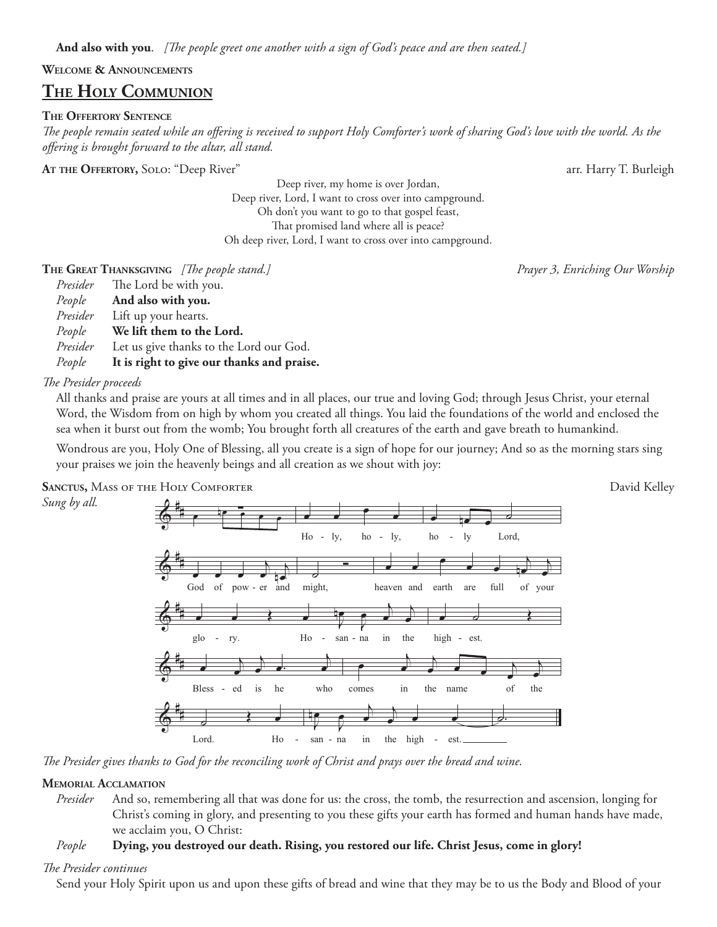**Welcome & Announcements**

## **The Holy Communion**

#### **The Offertory Sentence**

*The people remain seated while an offering is received to support Holy Comforter's work of sharing God's love with the world. As the offering is brought forward to the altar, all stand.*

**AT THE OFFERTORY,** SOLO: "Deep River" arr. Harry T. Burleigh

Deep river, my home is over Jordan, Deep river, Lord, I want to cross over into campground. Oh don't you want to go to that gospel feast, That promised land where all is peace? Oh deep river, Lord, I want to cross over into campground.

**The Great Thanksgiving** *[The people stand.] Prayer 3, Enriching Our Worship*

| Presider | The Lord be with you.                      |
|----------|--------------------------------------------|
| People   | And also with you.                         |
| Presider | Lift up your hearts.                       |
| People   | We lift them to the Lord.                  |
| Presider | Let us give thanks to the Lord our God.    |
| People   | It is right to give our thanks and praise. |

*The Presider proceeds*

All thanks and praise are yours at all times and in all places, our true and loving God; through Jesus Christ, your eternal Word, the Wisdom from on high by whom you created all things. You laid the foundations of the world and enclosed the sea when it burst out from the womb; You brought forth all creatures of the earth and gave breath to humankind.

Wondrous are you, Holy One of Blessing, all you create is a sign of hope for our journey; And so as the morning stars sing your praises we join the heavenly beings and all creation as we shout with joy:

**SANCTUS, MASS OF THE HOLY COMFORTER DAVID BY A SERVICE OF A SERVICE OF A SERVICE OF A SERVICE OF A SERVICE OF A SERVICE OF A SERVICE OF A SERVICE OF A SERVICE OF A SERVICE OF A SERVICE OF A SERVICE OF A SERVICE OF A SERVI** 

*Sung by all.* 



*The Presider gives thanks to God for the reconciling work of Christ and prays over the bread and wine.*

#### **Memorial Acclamation**

*Presider* And so, remembering all that was done for us: the cross, the tomb, the resurrection and ascension, longing for Christ's coming in glory, and presenting to you these gifts your earth has formed and human hands have made, we acclaim you, O Christ:

#### *People* **Dying, you destroyed our death. Rising, you restored our life. Christ Jesus, come in glory!**

#### *The Presider continues*

Send your Holy Spirit upon us and upon these gifts of bread and wine that they may be to us the Body and Blood of your